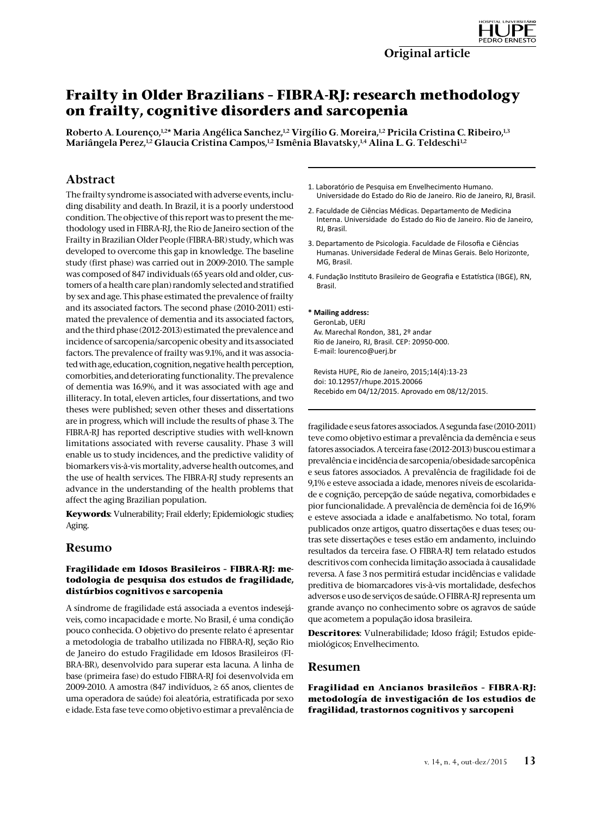# **Frailty in Older Brazilians – FIBRA-RJ: research methodology on frailty, cognitive disorders and sarcopenia**

Roberto A. Lourenço,<sup>1,2\*</sup> Maria Angélica Sanchez,<sup>1,2</sup> Virgílio G. Moreira,<sup>1,2</sup> Pricila Cristina C. Ribeiro,<sup>1,3</sup> Mariângela Perez,<sup>1,2</sup> Glaucia Cristina Campos,<sup>1,2</sup> Ismênia Blavatsky,<sup>1,4</sup> Alina L. G. Teldeschi<sup>1,2</sup>

# Abstract

The frailty syndrome is associated with adverse events, including disability and death. In Brazil, it is a poorly understood condition. The objective of this report was to present the methodology used in FIBRA-RJ, the Rio de Janeiro section of the Frailty in Brazilian Older People (FIBRA-BR) study, which was developed to overcome this gap in knowledge. The baseline study (first phase) was carried out in 2009-2010. The sample was composed of 847 individuals (65 years old and older, customers of a health care plan) randomly selected and stratified by sex and age. This phase estimated the prevalence of frailty and its associated factors. The second phase (2010-2011) estimated the prevalence of dementia and its associated factors, and the third phase (2012-2013) estimated the prevalence and incidence of sarcopenia/sarcopenic obesity and its associated factors. The prevalence of frailty was 9.1%, and it was associated with age, education, cognition, negative health perception, comorbities, and deteriorating functionality. The prevalence of dementia was 16.9%, and it was associated with age and illiteracy. In total, eleven articles, four dissertations, and two theses were published; seven other theses and dissertations are in progress, which will include the results of phase 3. The FIBRA-RJ has reported descriptive studies with well-known limitations associated with reverse causality. Phase 3 will enable us to study incidences, and the predictive validity of biomarkers vis-à-vis mortality, adverse health outcomes, and the use of health services. The FIBRA-RJ study represents an advance in the understanding of the health problems that affect the aging Brazilian population.

**Keywords**: Vulnerability; Frail elderly; Epidemiologic studies; Aging.

# Resumo

#### **Fragilidade em Idosos Brasileiros – FIBRA-RJ: metodologia de pesquisa dos estudos de fragilidade, distúrbios cognitivos e sarcopenia**

A síndrome de fragilidade está associada a eventos indesejáveis, como incapacidade e morte. No Brasil, é uma condição pouco conhecida. O objetivo do presente relato é apresentar a metodologia de trabalho utilizada no FIBRA-RJ, seção Rio de Janeiro do estudo Fragilidade em Idosos Brasileiros (FI-BRA-BR), desenvolvido para superar esta lacuna. A linha de base (primeira fase) do estudo FIBRA-RJ foi desenvolvida em 2009-2010. A amostra (847 indivíduos, ≥ 65 anos, clientes de uma operadora de saúde) foi aleatória, estratificada por sexo e idade. Esta fase teve como objetivo estimar a prevalência de

- 1. Laboratório de Pesquisa em Envelhecimento Humano. Universidade do Estado do Rio de Janeiro. Rio de Janeiro, RJ, Brasil.
- 2. Faculdade de Ciências Médicas. Departamento de Medicina Interna. Universidade do Estado do Rio de Janeiro. Rio de Janeiro, RJ, Brasil.
- 3. Departamento de Psicologia. Faculdade de Filosofia e Ciências Humanas. Universidade Federal de Minas Gerais. Belo Horizonte, MG, Brasil.
- 4. Fundação Instituto Brasileiro de Geografia e Estatística (IBGE), RN, Brasil.

#### **\* Mailing address:**

GeronLab, UERJ Av. Marechal Rondon, 381, 2º andar Rio de Janeiro, RJ, Brasil. CEP: 20950-000. E-mail: lourenco@uerj.br

Revista HUPE, Rio de Janeiro, 2015;14(4):13-23 doi: 10.12957/rhupe.2015.20066 Recebido em 04/12/2015. Aprovado em 08/12/2015.

fragilidade e seus fatores associados. A segunda fase (2010-2011) teve como objetivo estimar a prevalência da demência e seus fatores associados. A terceira fase (2012-2013) buscou estimar a prevalência e incidência de sarcopenia/obesidade sarcopênica e seus fatores associados. A prevalência de fragilidade foi de 9,1% e esteve associada a idade, menores níveis de escolaridade e cognição, percepção de saúde negativa, comorbidades e pior funcionalidade. A prevalência de demência foi de 16,9% e esteve associada a idade e analfabetismo. No total, foram publicados onze artigos, quatro dissertações e duas teses; outras sete dissertações e teses estão em andamento, incluindo resultados da terceira fase. O FIBRA-RJ tem relatado estudos descritivos com conhecida limitação associada à causalidade reversa. A fase 3 nos permitirá estudar incidências e validade preditiva de biomarcadores vis-à-vis mortalidade, desfechos adversos e uso de serviços de saúde. O FIBRA-RJ representa um grande avanço no conhecimento sobre os agravos de saúde que acometem a população idosa brasileira.

**Descritores**: Vulnerabilidade; Idoso frágil; Estudos epidemiológicos; Envelhecimento.

### Resumen

**Fragilidad en Ancianos brasileños – FIBRA-RJ: metodología de investigación de los estudios de fragilidad, trastornos cognitivos y sarcopeni**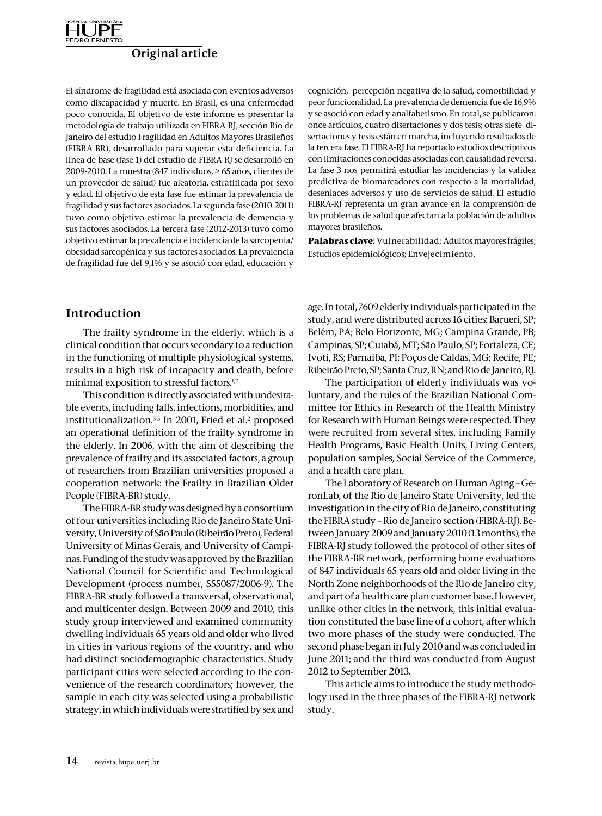

El síndrome de fragilidad está asociada con eventos adversos como discapacidad y muerte. En Brasil, es una enfermedad poco conocida. El objetivo de este informe es presentar la metodología de trabajo utilizada en FIBRA-RJ, sección Río de Janeiro del estudio Fragilidad en Adultos Mayores Brasileños (FIBRA-BR), desarrollado para superar esta deficiencia. La línea de base (fase 1) del estudio de FIBRA-RJ se desarrolló en 2009-2010. La muestra (847 individuos, ≥ 65 años, clientes de un proveedor de salud) fue aleatoria, estratificada por sexo y edad. El objetivo de esta fase fue estimar la prevalencia de fragilidad y sus factores asociados. La segunda fase (2010-2011) tuvo como objetivo estimar la prevalencia de demencia y sus factores asociados. La tercera fase (2012-2013) tuvo como objetivo estimar la prevalencia e incidencia de la sarcopenia/ obesidad sarcopénica y sus factores asociados. La prevalencia de fragilidad fue del 9,1% y se asoció con edad, educación y

### peor funcionalidad. La prevalencia de demencia fue de 16,9% y se asoció con edad y analfabetismo. En total, se publicaron: once artículos, cuatro disertaciones y dos tesis; otras siete disertaciones y tesis están en marcha, incluyendo resultados de la tercera fase. El FIBRA-RJ ha reportado estudios descriptivos con limitaciones conocidas asociadas con causalidad reversa. La fase 3 nos permitirá estudiar las incidencias y la validez predictiva de biomarcadores con respecto a la mortalidad, desenlaces adversos y uso de servicios de salud. El estudio FIBRA-RJ representa un gran avance en la comprensión de los problemas de salud que afectan a la población de adultos mayores brasileños. **Palabras clave**: Vulnerabilidad; Adultos mayores frágiles;

cognición, percepción negativa de la salud, comorbilidad y

# Introduction

The frailty syndrome in the elderly, which is a clinical condition that occurs secondary to a reduction in the functioning of multiple physiological systems, results in a high risk of incapacity and death, before minimal exposition to stressful factors.<sup>1,2</sup>

This condition is directly associated with undesirable events, including falls, infections, morbidities, and institutionalization.<sup>3-5</sup> In 2001, Fried et al.<sup>2</sup> proposed an operational definition of the frailty syndrome in the elderly. In 2006, with the aim of describing the prevalence of frailty and its associated factors, a group of researchers from Brazilian universities proposed a cooperation network: the Frailty in Brazilian Older People (FIBRA-BR) study.

The FIBRA-BR study was designed by a consortium of four universities including Rio de Janeiro State University, University of São Paulo (Ribeirão Preto), Federal University of Minas Gerais, and University of Campinas. Funding of the study was approved by the Brazilian National Council for Scientific and Technological Development (process number, 555087/2006-9). The FIBRA-BR study followed a transversal, observational, and multicenter design. Between 2009 and 2010, this study group interviewed and examined community dwelling individuals 65 years old and older who lived in cities in various regions of the country, and who had distinct sociodemographic characteristics. Study participant cities were selected according to the convenience of the research coordinators; however, the sample in each city was selected using a probabilistic strategy, in which individuals were stratified by sex and age. In total, 7609 elderly individuals participated in the study, and were distributed across 16 cities: Barueri, SP; Belém, PA; Belo Horizonte, MG; Campina Grande, PB; Campinas, SP; Cuiabá, MT; São Paulo, SP; Fortaleza, CE; Ivoti, RS; Parnaíba, PI; Poços de Caldas, MG; Recife, PE; Ribeirão Preto, SP; Santa Cruz, RN; and Rio de Janeiro, RJ.

Estudios epidemiológicos; Envejecimiento.

The participation of elderly individuals was voluntary, and the rules of the Brazilian National Committee for Ethics in Research of the Health Ministry for Research with Human Beings were respected. They were recruited from several sites, including Family Health Programs, Basic Health Units, Living Centers, population samples, Social Service of the Commerce, and a health care plan.

The Laboratory of Research on Human Aging – GeronLab, of the Rio de Janeiro State University, led the investigation in the city of Rio de Janeiro, constituting the FIBRA study – Rio de Janeiro section (FIBRA-RJ). Between January 2009 and January 2010 (13 months), the FIBRA-RJ study followed the protocol of other sites of the FIBRA-BR network, performing home evaluations of 847 individuals 65 years old and older living in the North Zone neighborhoods of the Rio de Janeiro city, and part of a health care plan customer base. However, unlike other cities in the network, this initial evaluation constituted the base line of a cohort, after which two more phases of the study were conducted. The second phase began in July 2010 and was concluded in June 2011; and the third was conducted from August 2012 to September 2013.

This article aims to introduce the study methodology used in the three phases of the FIBRA-RJ network study.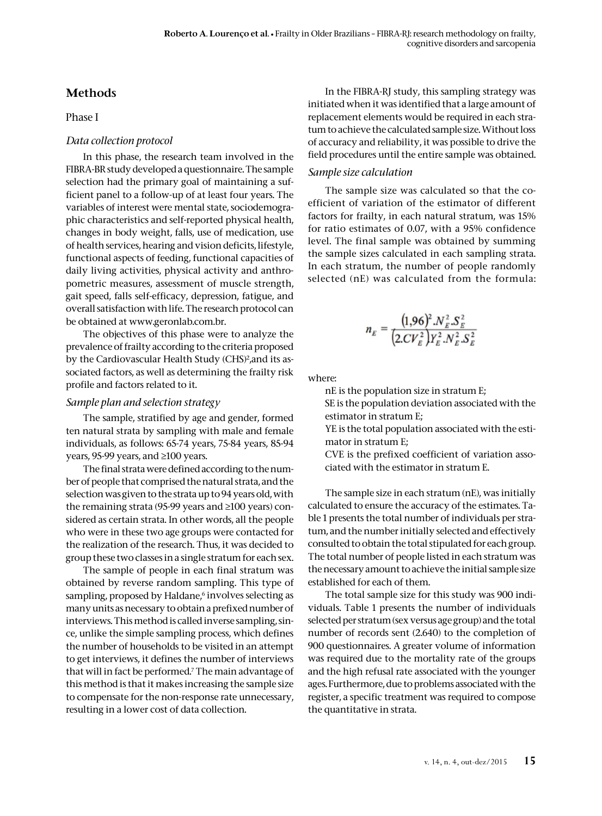# **Methods**

### Phase I

# *Data collection protocol*

In this phase, the research team involved in the FIBRA-BR study developed a questionnaire. The sample selection had the primary goal of maintaining a sufficient panel to a follow-up of at least four years. The variables of interest were mental state, sociodemographic characteristics and self-reported physical health, changes in body weight, falls, use of medication, use of health services, hearing and vision deficits, lifestyle, functional aspects of feeding, functional capacities of daily living activities, physical activity and anthropometric measures, assessment of muscle strength, gait speed, falls self-efficacy, depression, fatigue, and overall satisfaction with life. The research protocol can be obtained at www.geronlab.com.br.

The objectives of this phase were to analyze the prevalence of frailty according to the criteria proposed by the Cardiovascular Health Study (CHS)<sup>2</sup>, and its associated factors, as well as determining the frailty risk profile and factors related to it.

### *Sample plan and selection strategy*

The sample, stratified by age and gender, formed ten natural strata by sampling with male and female individuals, as follows: 65-74 years, 75-84 years, 85-94 years, 95-99 years, and ≥100 years.

The final strata were defined according to the number of people that comprised the natural strata, and the selection was given to the strata up to 94 years old, with the remaining strata (95-99 years and ≥100 years) considered as certain strata. In other words, all the people who were in these two age groups were contacted for the realization of the research. Thus, it was decided to group these two classes in a single stratum for each sex.

The sample of people in each final stratum was obtained by reverse random sampling. This type of sampling, proposed by Haldane,<sup>6</sup> involves selecting as many units as necessary to obtain a prefixed number of interviews. This method is called inverse sampling, since, unlike the simple sampling process, which defines the number of households to be visited in an attempt to get interviews, it defines the number of interviews that will in fact be performed.7 The main advantage of this method is that it makes increasing the sample size to compensate for the non-response rate unnecessary, resulting in a lower cost of data collection.

In the FIBRA-RJ study, this sampling strategy was initiated when it was identified that a large amount of replacement elements would be required in each stratum to achieve the calculated sample size. Without loss of accuracy and reliability, it was possible to drive the field procedures until the entire sample was obtained.

# *Sample size calculation*

The sample size was calculated so that the coefficient of variation of the estimator of different factors for frailty, in each natural stratum, was 15% for ratio estimates of 0.07, with a 95% confidence level. The final sample was obtained by summing the sample sizes calculated in each sampling strata. In each stratum, the number of people randomly selected (nE) was calculated from the formula:

$$
n_E = \frac{(1,96)^2.N_E^2.S_E^2}{(2.CV_E^2)Y_E^2.N_E^2.S_E^2}
$$

where:

nE is the population size in stratum E;

SE is the population deviation associated with the estimator in stratum E;

YE is the total population associated with the estimator in stratum E;

CVE is the prefixed coefficient of variation associated with the estimator in stratum E.

The sample size in each stratum (nE), was initially calculated to ensure the accuracy of the estimates. Table 1 presents the total number of individuals per stratum, and the number initially selected and effectively consulted to obtain the total stipulated for each group. The total number of people listed in each stratum was the necessary amount to achieve the initial sample size established for each of them.

The total sample size for this study was 900 individuals. Table 1 presents the number of individuals selected per stratum (sex versus age group) and the total number of records sent (2.640) to the completion of 900 questionnaires. A greater volume of information was required due to the mortality rate of the groups and the high refusal rate associated with the younger ages. Furthermore, due to problems associated with the register, a specific treatment was required to compose the quantitative in strata.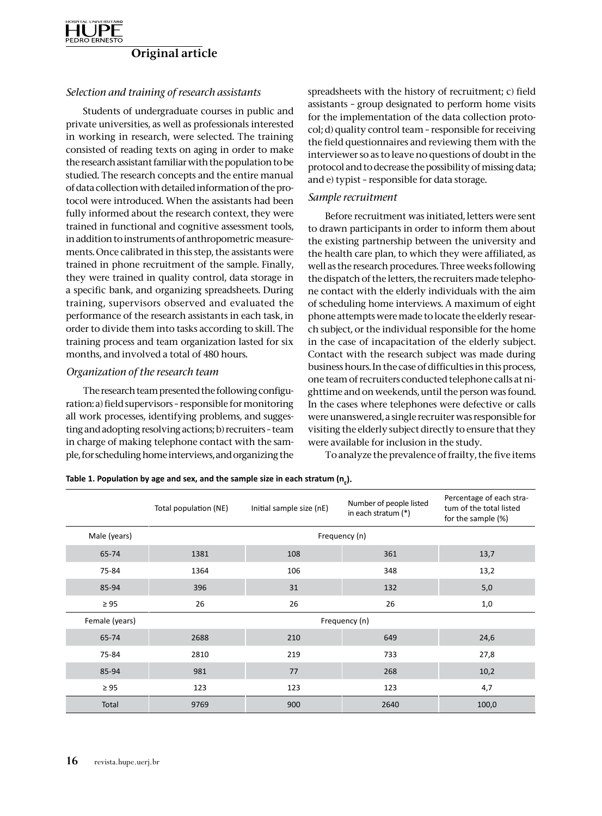

### *Selection and training of research assistants*

Students of undergraduate courses in public and private universities, as well as professionals interested in working in research, were selected. The training consisted of reading texts on aging in order to make the research assistant familiar with the population to be studied. The research concepts and the entire manual of data collection with detailed information of the protocol were introduced. When the assistants had been fully informed about the research context, they were trained in functional and cognitive assessment tools, in addition to instruments of anthropometric measurements. Once calibrated in this step, the assistants were trained in phone recruitment of the sample. Finally, they were trained in quality control, data storage in a specific bank, and organizing spreadsheets. During training, supervisors observed and evaluated the performance of the research assistants in each task, in order to divide them into tasks according to skill. The training process and team organization lasted for six months, and involved a total of 480 hours.

### *Organization of the research team*

The research team presented the following configuration: a) field supervisors – responsible for monitoring all work processes, identifying problems, and suggesting and adopting resolving actions; b) recruiters – team in charge of making telephone contact with the sample, for scheduling home interviews, and organizing the spreadsheets with the history of recruitment; c) field assistants – group designated to perform home visits for the implementation of the data collection protocol; d) quality control team – responsible for receiving the field questionnaires and reviewing them with the interviewer so as to leave no questions of doubt in the protocol and to decrease the possibility of missing data; and e) typist – responsible for data storage.

### *Sample recruitment*

Before recruitment was initiated, letters were sent to drawn participants in order to inform them about the existing partnership between the university and the health care plan, to which they were affiliated, as well as the research procedures. Three weeks following the dispatch of the letters, the recruiters made telephone contact with the elderly individuals with the aim of scheduling home interviews. A maximum of eight phone attempts were made to locate the elderly research subject, or the individual responsible for the home in the case of incapacitation of the elderly subject. Contact with the research subject was made during business hours. In the case of difficulties in this process, one team of recruiters conducted telephone calls at nighttime and on weekends, until the person was found. In the cases where telephones were defective or calls were unanswered, a single recruiter was responsible for visiting the elderly subject directly to ensure that they were available for inclusion in the study.

To analyze the prevalence of frailty, the five items

Table 1. Population by age and sex, and the sample size in each stratum (n<sub>E</sub>).

|                | Total population (NE) | Initial sample size (nE) | Number of people listed<br>in each stratum (*) | Percentage of each stra-<br>tum of the total listed<br>for the sample (%) |
|----------------|-----------------------|--------------------------|------------------------------------------------|---------------------------------------------------------------------------|
| Male (years)   | Frequency (n)         |                          |                                                |                                                                           |
| 65-74          | 1381                  | 108                      | 361                                            | 13,7                                                                      |
| 75-84          | 1364                  | 106                      | 348                                            | 13,2                                                                      |
| 85-94          | 396                   | 31                       | 132                                            | 5,0                                                                       |
| $\geq 95$      | 26                    | 26                       | 26                                             | 1,0                                                                       |
| Female (years) | Frequency (n)         |                          |                                                |                                                                           |
| 65-74          | 2688                  | 210                      | 649                                            | 24,6                                                                      |
| 75-84          | 2810                  | 219                      | 733                                            | 27,8                                                                      |
| 85-94          | 981                   | 77                       | 268                                            | 10,2                                                                      |
| $\geq 95$      | 123                   | 123                      | 123                                            | 4,7                                                                       |
| Total          | 9769                  | 900                      | 2640                                           | 100,0                                                                     |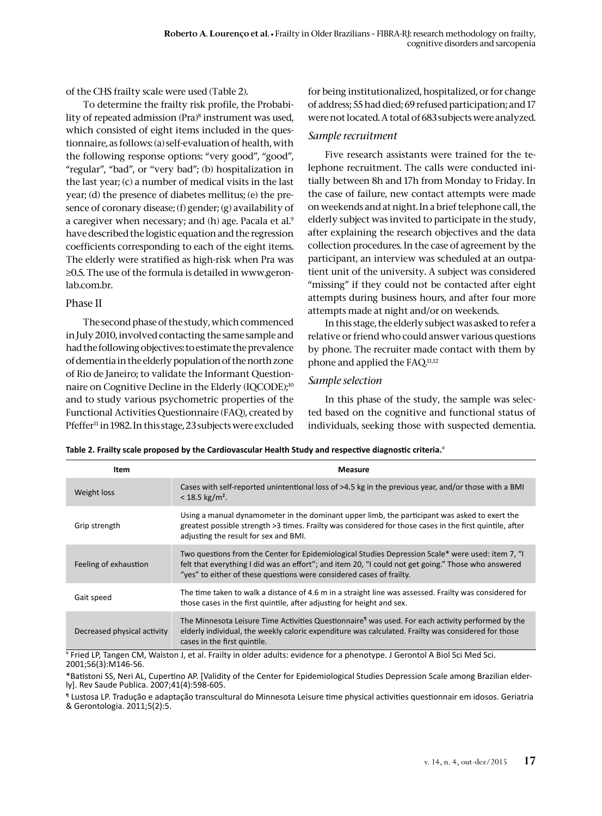of the CHS frailty scale were used (Table 2).

To determine the frailty risk profile, the Probability of repeated admission (Pra)8 instrument was used, which consisted of eight items included in the questionnaire, as follows: (a) self-evaluation of health, with the following response options: "very good", "good", "regular", "bad", or "very bad"; (b) hospitalization in the last year; (c) a number of medical visits in the last year; (d) the presence of diabetes mellitus; (e) the presence of coronary disease; (f) gender; (g) availability of a caregiver when necessary; and (h) age. Pacala et al.<sup>9</sup> have described the logistic equation and the regression coefficients corresponding to each of the eight items. The elderly were stratified as high-risk when Pra was ≥0.5. The use of the formula is detailed in www.geronlab.com.br.

# Phase II

The second phase of the study, which commenced in July 2010, involved contacting the same sample and had the following objectives: to estimate the prevalence of dementia in the elderly population of the north zone of Rio de Janeiro; to validate the Informant Questionnaire on Cognitive Decline in the Elderly (IQCODE);10 and to study various psychometric properties of the Functional Activities Questionnaire (FAQ), created by Pfeffer<sup>11</sup> in 1982. In this stage, 23 subjects were excluded for being institutionalized, hospitalized, or for change of address; 55 had died; 69 refused participation; and 17 were not located. A total of 683 subjects were analyzed.

# *Sample recruitment*

Five research assistants were trained for the telephone recruitment. The calls were conducted initially between 8h and 17h from Monday to Friday. In the case of failure, new contact attempts were made on weekends and at night. In a brief telephone call, the elderly subject was invited to participate in the study, after explaining the research objectives and the data collection procedures. In the case of agreement by the participant, an interview was scheduled at an outpatient unit of the university. A subject was considered "missing" if they could not be contacted after eight attempts during business hours, and after four more attempts made at night and/or on weekends.

In this stage, the elderly subject was asked to refer a relative or friend who could answer various questions by phone. The recruiter made contact with them by phone and applied the FAQ.11,12

# *Sample selection*

In this phase of the study, the sample was selected based on the cognitive and functional status of individuals, seeking those with suspected dementia.

**Table 2. Frailty scale proposed by the Cardiovascular Health Study and respective diagnostic criteria.**¤

| Item                        | <b>Measure</b>                                                                                                                                                                                                                                                                   |
|-----------------------------|----------------------------------------------------------------------------------------------------------------------------------------------------------------------------------------------------------------------------------------------------------------------------------|
| Weight loss                 | Cases with self-reported unintentional loss of >4.5 kg in the previous year, and/or those with a BMI<br>$< 18.5$ kg/m <sup>2</sup> .                                                                                                                                             |
| Grip strength               | Using a manual dynamometer in the dominant upper limb, the participant was asked to exert the<br>greatest possible strength >3 times. Frailty was considered for those cases in the first quintile, after<br>adjusting the result for sex and BMI.                               |
| Feeling of exhaustion       | Two questions from the Center for Epidemiological Studies Depression Scale* were used: item 7, "I<br>felt that everything I did was an effort"; and item 20, "I could not get going." Those who answered<br>"yes" to either of these questions were considered cases of frailty. |
| Gait speed                  | The time taken to walk a distance of 4.6 m in a straight line was assessed. Frailty was considered for<br>those cases in the first quintile, after adjusting for height and sex.                                                                                                 |
| Decreased physical activity | The Minnesota Leisure Time Activities Questionnaire <sup>1</sup> was used. For each activity performed by the<br>elderly individual, the weekly caloric expenditure was calculated. Frailty was considered for those<br>cases in the first quintile.                             |

¤ Fried LP, Tangen CM, Walston J, et al. Frailty in older adults: evidence for a phenotype. J Gerontol A Biol Sci Med Sci. 2001;56(3):M146-56.

\*Batistoni SS, Neri AL, Cupertino AP. [Validity of the Center for Epidemiological Studies Depression Scale among Brazilian elder- ly]. Rev Saude Publica. 2007;41(4):598-605.

¶ Lustosa LP. Tradução e adaptação transcultural do Minnesota Leisure time physical activities questionnair em idosos. Geriatria & Gerontologia. 2011;5(2):5.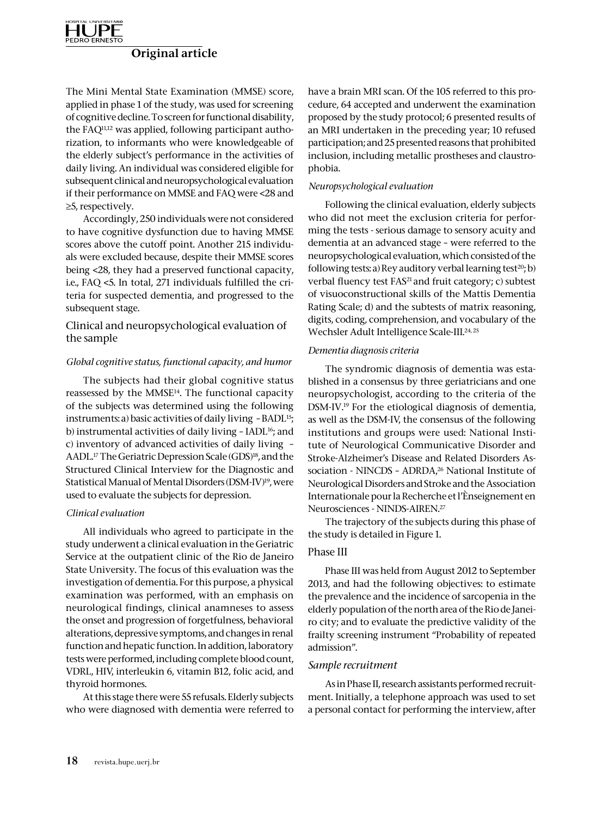

The Mini Mental State Examination (MMSE) score, applied in phase 1 of the study, was used for screening of cognitive decline. To screen for functional disability, the FAQ11,12 was applied, following participant authorization, to informants who were knowledgeable of the elderly subject's performance in the activities of daily living. An individual was considered eligible for subsequent clinical and neuropsychological evaluation if their performance on MMSE and FAQ were <28 and ≥5, respectively.

Accordingly, 250 individuals were not considered to have cognitive dysfunction due to having MMSE scores above the cutoff point. Another 215 individuals were excluded because, despite their MMSE scores being <28, they had a preserved functional capacity, i.e., FAQ <5. In total, 271 individuals fulfilled the criteria for suspected dementia, and progressed to the subsequent stage.

### Clinical and neuropsychological evaluation of the sample

### *Global cognitive status, functional capacity, and humor*

The subjects had their global cognitive status reassessed by the MMSE14. The functional capacity of the subjects was determined using the following instruments: a) basic activities of daily living - BADL<sup>15</sup>; b) instrumental activities of daily living - IADL<sup>16</sup>; and c) inventory of advanced activities of daily living – AADL.<sup>17</sup> The Geriatric Depression Scale (GDS)<sup>18</sup>, and the Structured Clinical Interview for the Diagnostic and Statistical Manual of Mental Disorders (DSM-IV)<sup>19</sup>, were used to evaluate the subjects for depression.

#### *Clinical evaluation*

All individuals who agreed to participate in the study underwent a clinical evaluation in the Geriatric Service at the outpatient clinic of the Rio de Janeiro State University. The focus of this evaluation was the investigation of dementia. For this purpose, a physical examination was performed, with an emphasis on neurological findings, clinical anamneses to assess the onset and progression of forgetfulness, behavioral alterations, depressive symptoms, and changes in renal function and hepatic function. In addition, laboratory tests were performed, including complete blood count, VDRL, HIV, interleukin 6, vitamin B12, folic acid, and thyroid hormones.

At this stage there were 55 refusals. Elderly subjects who were diagnosed with dementia were referred to have a brain MRI scan. Of the 105 referred to this procedure, 64 accepted and underwent the examination proposed by the study protocol; 6 presented results of an MRI undertaken in the preceding year; 10 refused participation; and 25 presented reasons that prohibited inclusion, including metallic prostheses and claustrophobia.

#### *Neuropsychological evaluation*

Following the clinical evaluation, elderly subjects who did not meet the exclusion criteria for performing the tests - serious damage to sensory acuity and dementia at an advanced stage – were referred to the neuropsychological evaluation, which consisted of the following tests: a) Rey auditory verbal learning test<sup>20</sup>; b) verbal fluency test FAS<sup>21</sup> and fruit category; c) subtest of visuoconstructional skills of the Mattis Dementia Rating Scale; d) and the subtests of matrix reasoning, digits, coding, comprehension, and vocabulary of the Wechsler Adult Intelligence Scale-III.<sup>24, 25</sup>

#### *Dementia diagnosis criteria*

The syndromic diagnosis of dementia was established in a consensus by three geriatricians and one neuropsychologist, according to the criteria of the DSM-IV.19 For the etiological diagnosis of dementia, as well as the DSM-IV, the consensus of the following institutions and groups were used: National Institute of Neurological Communicative Disorder and Stroke-Alzheimer's Disease and Related Disorders Association - NINCDS - ADRDA,<sup>26</sup> National Institute of Neurological Disorders and Stroke and the Association Internationale pour la Recherche et l'Ènseignement en Neurosciences - NINDS-AIREN.27

The trajectory of the subjects during this phase of the study is detailed in Figure 1.

### Phase III

Phase III was held from August 2012 to September 2013, and had the following objectives: to estimate the prevalence and the incidence of sarcopenia in the elderly population of the north area of the Rio de Janeiro city; and to evaluate the predictive validity of the frailty screening instrument "Probability of repeated admission".

### *Sample recruitment*

As in Phase II, research assistants performed recruitment. Initially, a telephone approach was used to set a personal contact for performing the interview, after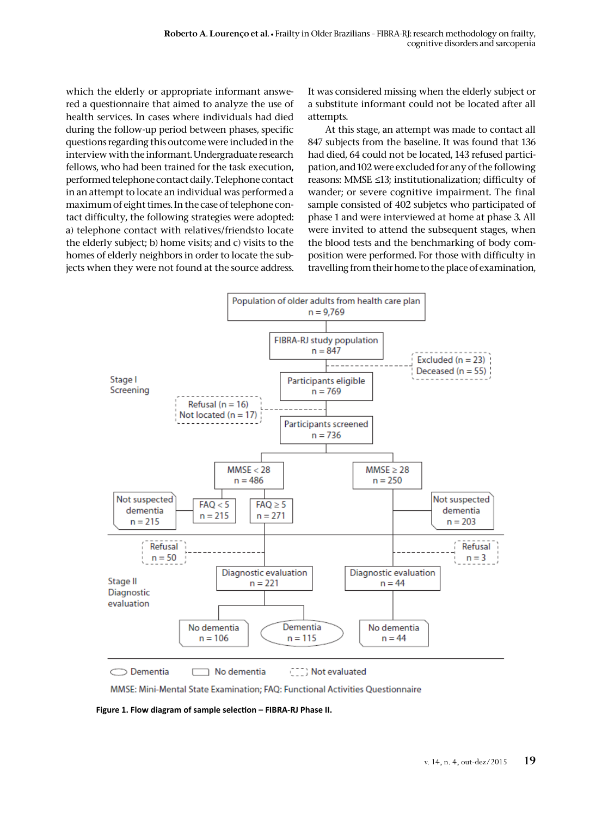which the elderly or appropriate informant answered a questionnaire that aimed to analyze the use of health services. In cases where individuals had died during the follow-up period between phases, specific questions regarding this outcome were included in the interview with the informant. Undergraduate research fellows, who had been trained for the task execution, performed telephone contact daily. Telephone contact in an attempt to locate an individual was performed a maximum of eight times. In the case of telephone contact difficulty, the following strategies were adopted: a) telephone contact with relatives/friendsto locate the elderly subject; b) home visits; and c) visits to the homes of elderly neighbors in order to locate the subjects when they were not found at the source address.

It was considered missing when the elderly subject or a substitute informant could not be located after all attempts.

At this stage, an attempt was made to contact all 847 subjects from the baseline. It was found that 136 had died, 64 could not be located, 143 refused participation, and 102 were excluded for any of the following reasons: MMSE ≤13; institutionalization; difficulty of wander; or severe cognitive impairment. The final sample consisted of 402 subjetcs who participated of phase 1 and were interviewed at home at phase 3. All were invited to attend the subsequent stages, when the blood tests and the benchmarking of body composition were performed. For those with difficulty in travelling from their home to the place of examination,



MMSE: Mini-Mental State Examination; FAQ: Functional Activities Questionnaire

**Figure 1. Flow diagram of sample selection – FIBRA-RJ Phase II.**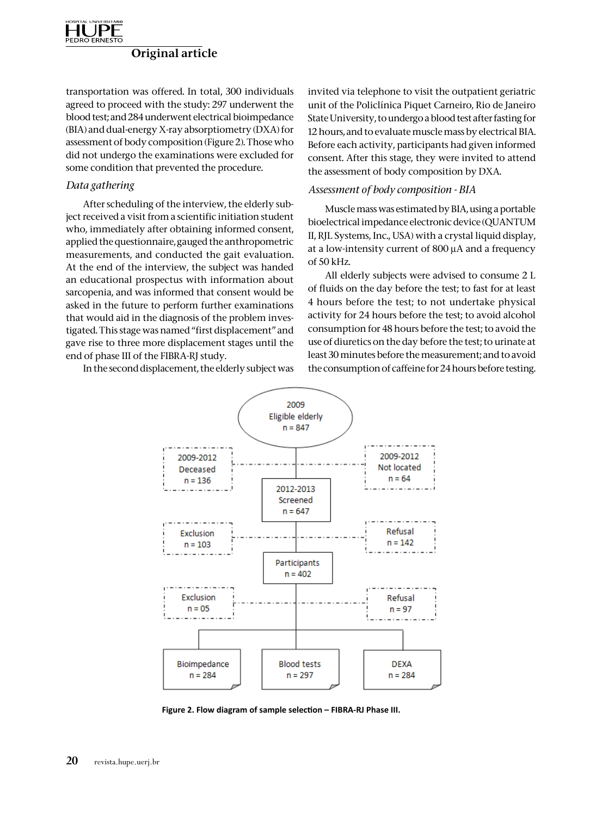

transportation was offered. In total, 300 individuals agreed to proceed with the study: 297 underwent the blood test; and 284 underwent electrical bioimpedance (BIA) and dual-energy X-ray absorptiometry (DXA) for assessment of body composition (Figure 2). Those who did not undergo the examinations were excluded for some condition that prevented the procedure.

### *Data gathering*

After scheduling of the interview, the elderly subject received a visit from a scientific initiation student who, immediately after obtaining informed consent, applied the questionnaire, gauged the anthropometric measurements, and conducted the gait evaluation. At the end of the interview, the subject was handed an educational prospectus with information about sarcopenia, and was informed that consent would be asked in the future to perform further examinations that would aid in the diagnosis of the problem investigated. This stage was named "first displacement" and gave rise to three more displacement stages until the end of phase III of the FIBRA-RJ study.

In the second displacement, the elderly subject was

invited via telephone to visit the outpatient geriatric unit of the Policlínica Piquet Carneiro, Rio de Janeiro State University, to undergo a blood test after fasting for 12 hours, and to evaluate muscle mass by electrical BIA. Before each activity, participants had given informed consent. After this stage, they were invited to attend the assessment of body composition by DXA.

### *Assessment of body composition - BIA*

Muscle mass was estimated by BIA, using a portable bioelectrical impedance electronic device (QUANTUM II, RJL Systems, Inc., USA) with a crystal liquid display, at a low-intensity current of 800 µA and a frequency of 50 kHz.

All elderly subjects were advised to consume 2 L of fluids on the day before the test; to fast for at least 4 hours before the test; to not undertake physical activity for 24 hours before the test; to avoid alcohol consumption for 48 hours before the test; to avoid the use of diuretics on the day before the test; to urinate at least 30 minutes before the measurement; and to avoid the consumption of caffeine for 24 hours before testing.



**Figure 2. Flow diagram of sample selection – FIBRA-RJ Phase III.**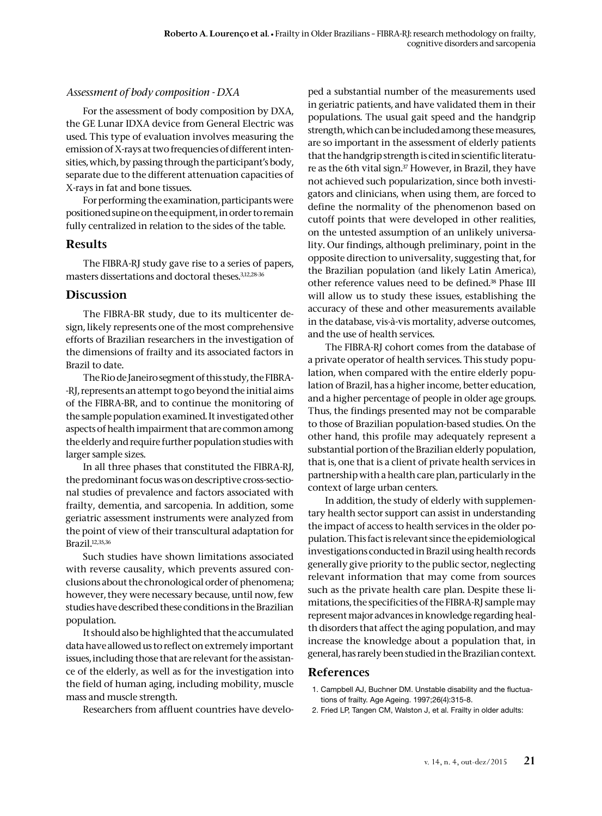# *Assessment of body composition - DXA*

For the assessment of body composition by DXA, the GE Lunar IDXA device from General Electric was used. This type of evaluation involves measuring the emission of X-rays at two frequencies of different intensities, which, by passing through the participant's body, separate due to the different attenuation capacities of X-rays in fat and bone tissues.

For performing the examination, participants were positioned supine on the equipment, in order to remain fully centralized in relation to the sides of the table.

### Results

The FIBRA-RJ study gave rise to a series of papers, masters dissertations and doctoral theses.3,12,28-36

# Discussion

The FIBRA-BR study, due to its multicenter design, likely represents one of the most comprehensive efforts of Brazilian researchers in the investigation of the dimensions of frailty and its associated factors in Brazil to date.

The Rio de Janeiro segment of this study, the FIBRA- -RJ, represents an attempt to go beyond the initial aims of the FIBRA-BR, and to continue the monitoring of the sample population examined. It investigated other aspects of health impairment that are common among the elderly and require further population studies with larger sample sizes.

In all three phases that constituted the FIBRA-RJ, the predominant focus was on descriptive cross-sectional studies of prevalence and factors associated with frailty, dementia, and sarcopenia. In addition, some geriatric assessment instruments were analyzed from the point of view of their transcultural adaptation for Brazil.12,35,36

Such studies have shown limitations associated with reverse causality, which prevents assured conclusions about the chronological order of phenomena; however, they were necessary because, until now, few studies have described these conditions in the Brazilian population.

It should also be highlighted that the accumulated data have allowed us to reflect on extremely important issues, including those that are relevant for the assistance of the elderly, as well as for the investigation into the field of human aging, including mobility, muscle mass and muscle strength.

Researchers from affluent countries have develo-

ped a substantial number of the measurements used in geriatric patients, and have validated them in their populations. The usual gait speed and the handgrip strength, which can be included among these measures, are so important in the assessment of elderly patients that the handgrip strength is cited in scientific literature as the 6th vital sign.<sup>37</sup> However, in Brazil, they have not achieved such popularization, since both investigators and clinicians, when using them, are forced to define the normality of the phenomenon based on cutoff points that were developed in other realities, on the untested assumption of an unlikely universality. Our findings, although preliminary, point in the opposite direction to universality, suggesting that, for the Brazilian population (and likely Latin America), other reference values need to be defined.38 Phase III will allow us to study these issues, establishing the accuracy of these and other measurements available in the database, vis-à-vis mortality, adverse outcomes, and the use of health services.

The FIBRA-RJ cohort comes from the database of a private operator of health services. This study population, when compared with the entire elderly population of Brazil, has a higher income, better education, and a higher percentage of people in older age groups. Thus, the findings presented may not be comparable to those of Brazilian population-based studies. On the other hand, this profile may adequately represent a substantial portion of the Brazilian elderly population, that is, one that is a client of private health services in partnership with a health care plan, particularly in the context of large urban centers.

In addition, the study of elderly with supplementary health sector support can assist in understanding the impact of access to health services in the older population. This fact is relevant since the epidemiological investigations conducted in Brazil using health records generally give priority to the public sector, neglecting relevant information that may come from sources such as the private health care plan. Despite these limitations, the specificities of the FIBRA-RJ sample may represent major advances in knowledge regarding health disorders that affect the aging population, and may increase the knowledge about a population that, in general, has rarely been studied in the Brazilian context.

### References

- 1. Campbell AJ, Buchner DM. Unstable disability and the fluctuations of frailty. Age Ageing. 1997;26(4):315-8.
- 2. Fried LP, Tangen CM, Walston J, et al. Frailty in older adults: